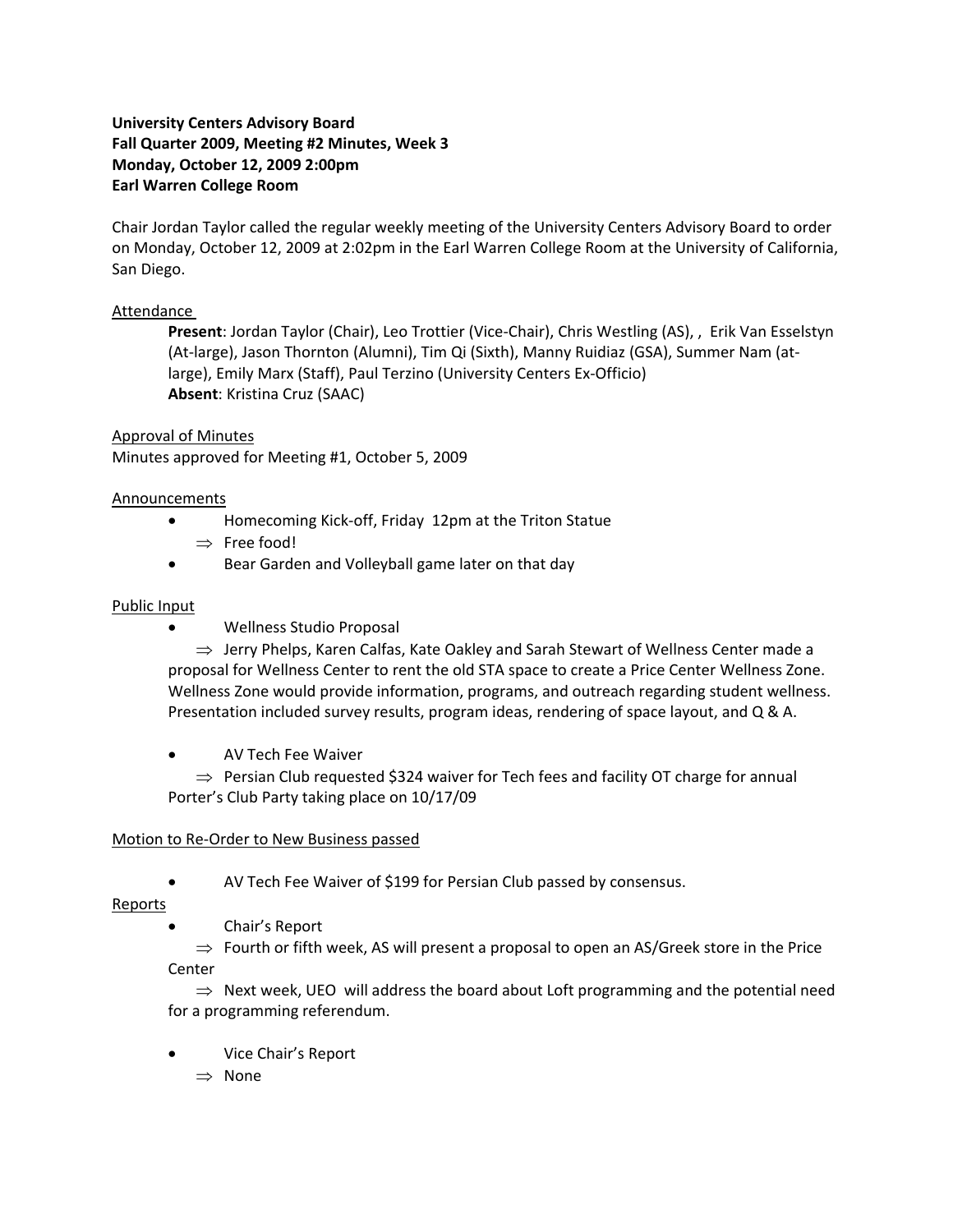# **University Centers Advisory Board Fall Quarter 2009, Meeting #2 Minutes, Week 3 Monday, October 12, 2009 2:00pm Earl Warren College Room**

Chair Jordan Taylor called the regular weekly meeting of the University Centers Advisory Board to order on Monday, October 12, 2009 at 2:02pm in the Earl Warren College Room at the University of California, San Diego.

## Attendance

**Present**: Jordan Taylor (Chair), Leo Trottier (Vice‐Chair), Chris Westling (AS), , Erik Van Esselstyn (At‐large), Jason Thornton (Alumni), Tim Qi (Sixth), Manny Ruidiaz (GSA), Summer Nam (at‐ large), Emily Marx (Staff), Paul Terzino (University Centers Ex‐Officio) **Absent**: Kristina Cruz (SAAC)

## Approval of Minutes

Minutes approved for Meeting #1, October 5, 2009

## Announcements

- Homecoming Kick-off, Friday 12pm at the Triton Statue
	- ⇒ Free food!
- Bear Garden and Volleyball game later on that day

## Public Input

• Wellness Studio Proposal

⇒ Jerry Phelps, Karen Calfas, Kate Oakley and Sarah Stewart of Wellness Center made a proposal for Wellness Center to rent the old STA space to create a Price Center Wellness Zone. Wellness Zone would provide information, programs, and outreach regarding student wellness. Presentation included survey results, program ideas, rendering of space layout, and Q & A.

• AV Tech Fee Waiver

 $\Rightarrow$  Persian Club requested \$324 waiver for Tech fees and facility OT charge for annual Porter's Club Party taking place on 10/17/09

# Motion to Re‐Order to New Business passed

• AV Tech Fee Waiver of \$199 for Persian Club passed by consensus.

Reports

• Chair's Report

 $\Rightarrow$  Fourth or fifth week, AS will present a proposal to open an AS/Greek store in the Price Center

 $\Rightarrow$  Next week, UEO will address the board about Loft programming and the potential need for a programming referendum.

- Vice Chair's Report
	- ⇒ None